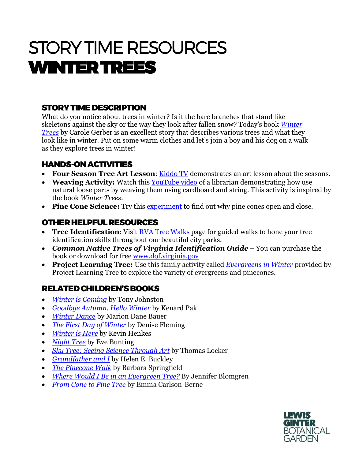# STORY TIME RESOURCES WINTER TREES

## STORY TIME DESCRIPTION

What do you notice about trees in winter? Is it the bare branches that stand like skeletons against the sky or the way they look after fallen snow? Today's book *[Winter](https://www.amazon.com/Winter-Trees-Carole-Gerber/dp/1580891691)  [Trees](https://www.amazon.com/Winter-Trees-Carole-Gerber/dp/1580891691)* by Carole Gerber is an excellent story that describes various trees and what they look like in winter. Put on some warm clothes and let's join a boy and his dog on a walk as they explore trees in winter!

### HANDS-ON ACTIVITIES

- **Four Season Tree Art Lesson**: [Kiddo TV](https://www.youtube.com/watch?v=3eqb99XjrK0) demonstrates an art lesson about the seasons.
- **Weaving Activity:** Watch this [YouTube](https://www.youtube.com/watch?v=vLLMA0q6yPs) video of a librarian demonstrating how use natural loose parts by weaving them using cardboard and string. This activity is inspired by the book *Winter Trees*.
- Pine Cone Science: Try this [experiment](https://parentingchaos.com/why-do-pine-cones-open-and-close/) to find out why pine cones open and close.

## OTHER HELPFUL RESOURCES

- **Tree Identification:** Visit RVA Tree [Walks](http://richmondtreestewards.org/education/rva-tree-walks/http:/richmondtreestewards.org/education/rva-tree-walks/http:/richmondtreestewards.org/education/rva-tree-walks/http:/richmondtreestewards.org/education/rva-tree-walks/) page for guided walks to hone your tree identification skills throughout our beautiful city parks.
- *Common Native Trees of Virginia Identification Guide* You can purchase the book or download for free [www.dof.virginia.gov](http://www.dof.virginia.gov/)
- **Project Learning Tree:** Use this family activity called *[Evergreens in Winter](https://www.plt.org/wp-content/uploads/pdf/PLT_Act6_Evergreens_in_Winter.pdf)* provided by Project Learning Tree to explore the variety of evergreens and pinecones.

#### RELATED CHILDREN'S BOOKS

- *[Winter is Coming](https://www.amazon.com/Winter-Coming-Tony-Johnston/dp/1442472510/ref=pd_sbs_14_43?_encoding=UTF8&pd_rd_i=1442472510&pd_rd_r=fe806d62-5513-4969-8b87-7d6d053c3a11&pd_rd_w=du4oe&pd_rd_wg=KDsP1&pf_rd_p=ed1e2146-ecfe-435e-b3b5-d79fa072fd58&pf_rd_r=NSEM6RGZESCB61Q7NAXV&psc=1&refRID=NSEM6RGZESCB61Q7NAXV)* by Tony Johnston
- *[Goodbye Autumn, Hello Winter](https://www.amazon.com/Goodbye-Autumn-Hello-Winter-Kenard/dp/1627794166/ref=pd_sbs_14_3/146-9587414-9400713?_encoding=UTF8&pd_rd_i=1627794166&pd_rd_r=fe806d62-5513-4969-8b87-7d6d053c3a11&pd_rd_w=du4oe&pd_rd_wg=KDsP1&pf_rd_p=ed1e2146-ecfe-435e-b3b5-d79fa072fd58&pf_rd_r=NSEM6RGZESCB61Q7NAXV&psc=1&refRID=NSEM6RGZESCB61Q7NAXV)* by Kenard Pak
- *[Winter Dance](https://www.amazon.com/Winter-Dance-Marion-Dane-Bauer/dp/0544313348/ref=pd_sbs_14_23?_encoding=UTF8&pd_rd_i=0544313348&pd_rd_r=47fcaa95-d7a7-4cc5-aef6-3ae89b24b94a&pd_rd_w=FFANH&pd_rd_wg=2nZuA&pf_rd_p=ed1e2146-ecfe-435e-b3b5-d79fa072fd58&pf_rd_r=4G93P2Z4VD7S6C1X0R2G&psc=1&refRID=4G93P2Z4VD7S6C1X0R2G)* by Marion Dane Bauer
- *[The First Day of Winter](https://www.amazon.com/First-Day-Winter-Denise-Fleming/dp/0312371381)* by Denise Fleming
- *[Winter is Here](https://www.amazon.com/Winter-Here-Kevin-Henkes/dp/0062747207/ref=sr_1_1?dchild=1&keywords=%E2%80%A2+Winter+is+Here+by+Kevin+Henkes&qid=1606730753&s=books&sr=1-1)* by Kevin Henkes
- *[Night Tree](https://www.amazon.com/Night-Tree-Eve-Bunting/dp/0152001212/ref=sr_1_1?dchild=1&keywords=%E2%80%A2+Night+Tree+by+Eve+Bunting&qid=1606730798&s=books&sr=1-1)* by Eve Bunting
- *[Sky Tree: Seeing Science Through Art](https://www.amazon.com/Sky-Tree-Seeing-Science-Through/dp/0064437507/ref=pd_vtp_14_3/146-9587414-9400713?_encoding=UTF8&pd_rd_i=0064437507&pd_rd_r=fe806d62-5513-4969-8b87-7d6d053c3a11&pd_rd_w=lUAny&pd_rd_wg=KDsP1&pf_rd_p=4f2ab3e8-468a-4a7c-9b91-89d6a9221c29&pf_rd_r=NSEM6RGZESCB61Q7NAXV&psc=1&refRID=NSEM6RGZESCB61Q7NAXV)* by Thomas Locker
- *[Grandfather and I](https://www.amazon.com/Grandfather-I-Helen-Buckley/dp/0688175260/ref=sr_1_1?dchild=1&keywords=%E2%80%A2+Grandfather+and+I+by+Helen+E.+Buckley&qid=1606730836&s=books&sr=1-1)* by Helen E. Buckley
- *[The Pinecone Walk](https://www.amazon.com/Pinecone-Walk-Barbara-Springfield/dp/1612443192/ref=pd_sbs_14_1/146-9587414-9400713?_encoding=UTF8&pd_rd_i=1612443192&pd_rd_r=3582d9b3-4bd8-40f6-afc0-8bf111dde801&pd_rd_w=KeqbR&pd_rd_wg=NDfYU&pf_rd_p=ed1e2146-ecfe-435e-b3b5-d79fa072fd58&pf_rd_r=DRVHTHHYPGPXWT1PSF1G&psc=1&refRID=DRVHTHHYPGPXWT1PSF1G)* by Barbara Springfield
- *[Where Would I Be in an Evergreen Tree?](https://www.amazon.com/Where-Would-Be-Evergreen-Tree/dp/1570614148/ref=pd_sbs_14_4/146-9587414-9400713?_encoding=UTF8&pd_rd_i=1570614148&pd_rd_r=fe806d62-5513-4969-8b87-7d6d053c3a11&pd_rd_w=du4oe&pd_rd_wg=KDsP1&pf_rd_p=ed1e2146-ecfe-435e-b3b5-d79fa072fd58&pf_rd_r=NSEM6RGZESCB61Q7NAXV&psc=1&refRID=NSEM6RGZESCB61Q7NAXV)* By Jennifer Blomgren
- *[From Cone to Pine Tree](https://www.amazon.com/Cone-Pine-Start-Finish-Second/dp/1512456225/ref=pd_sbs_14_3/146-9587414-9400713?_encoding=UTF8&pd_rd_i=1512456225&pd_rd_r=104d2067-e1a1-4574-8eb0-2826b2baf4aa&pd_rd_w=kDrwt&pd_rd_wg=ABa6n&pf_rd_p=ed1e2146-ecfe-435e-b3b5-d79fa072fd58&pf_rd_r=C5BN1PV2PJHVA7K4MQN0&psc=1&refRID=C5BN1PV2PJHVA7K4MQN0)* by Emma Carlson-Berne